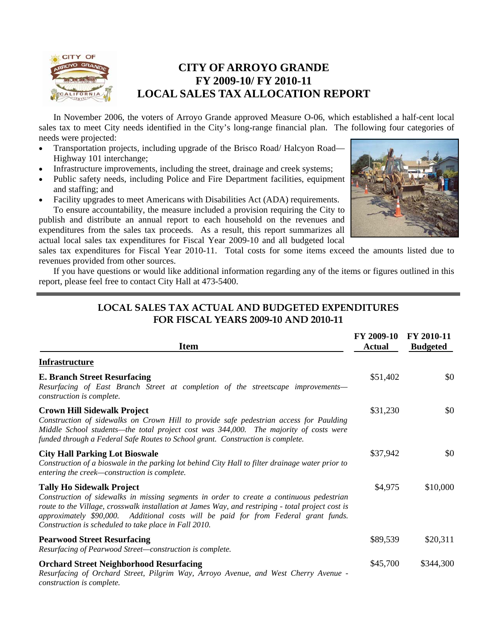

## **CITY OF ARROYO GRANDE FY 2009-10/ FY 2010-11 LOCAL SALES TAX ALLOCATION REPORT**

 In November 2006, the voters of Arroyo Grande approved Measure O-06, which established a half-cent local sales tax to meet City needs identified in the City's long-range financial plan. The following four categories of needs were projected:

- Transportation projects, including upgrade of the Brisco Road/ Halcyon Road— Highway 101 interchange;
- Infrastructure improvements, including the street, drainage and creek systems;
- Public safety needs, including Police and Fire Department facilities, equipment and staffing; and
- Facility upgrades to meet Americans with Disabilities Act (ADA) requirements. To ensure accountability, the measure included a provision requiring the City to publish and distribute an annual report to each household on the revenues and expenditures from the sales tax proceeds. As a result, this report summarizes all actual local sales tax expenditures for Fiscal Year 2009-10 and all budgeted local



sales tax expenditures for Fiscal Year 2010-11. Total costs for some items exceed the amounts listed due to revenues provided from other sources.

 If you have questions or would like additional information regarding any of the items or figures outlined in this report, please feel free to contact City Hall at 473-5400.

#### **LOCAL SALES TAX ACTUAL AND BUDGETED EXPENDITURES FOR FISCAL YEARS 2009-10 AND 2010-11**

| <b>Item</b>                                                                                                                                                                                                                                                                                                                                                                       | FY 2009-10<br><b>Actual</b> | FY 2010-11<br><b>Budgeted</b> |
|-----------------------------------------------------------------------------------------------------------------------------------------------------------------------------------------------------------------------------------------------------------------------------------------------------------------------------------------------------------------------------------|-----------------------------|-------------------------------|
| <b>Infrastructure</b>                                                                                                                                                                                                                                                                                                                                                             |                             |                               |
| <b>E. Branch Street Resurfacing</b><br>Resurfacing of East Branch Street at completion of the streetscape improvements-<br>construction is complete.                                                                                                                                                                                                                              | \$51,402                    | \$0                           |
| <b>Crown Hill Sidewalk Project</b><br>Construction of sidewalks on Crown Hill to provide safe pedestrian access for Paulding<br>Middle School students-the total project cost was 344,000. The majority of costs were<br>funded through a Federal Safe Routes to School grant. Construction is complete.                                                                          | \$31,230                    | \$0                           |
| <b>City Hall Parking Lot Bioswale</b><br>Construction of a bioswale in the parking lot behind City Hall to filter drainage water prior to<br>entering the creek-construction is complete.                                                                                                                                                                                         | \$37,942                    | \$0                           |
| <b>Tally Ho Sidewalk Project</b><br>Construction of sidewalks in missing segments in order to create a continuous pedestrian<br>route to the Village, crosswalk installation at James Way, and restriping - total project cost is<br>approximately \$90,000. Additional costs will be paid for from Federal grant funds.<br>Construction is scheduled to take place in Fall 2010. | \$4,975                     | \$10,000                      |
| <b>Pearwood Street Resurfacing</b><br>Resurfacing of Pearwood Street-construction is complete.                                                                                                                                                                                                                                                                                    | \$89,539                    | \$20,311                      |
| <b>Orchard Street Neighborhood Resurfacing</b><br>Resurfacing of Orchard Street, Pilgrim Way, Arroyo Avenue, and West Cherry Avenue -<br>construction is complete.                                                                                                                                                                                                                | \$45,700                    | \$344,300                     |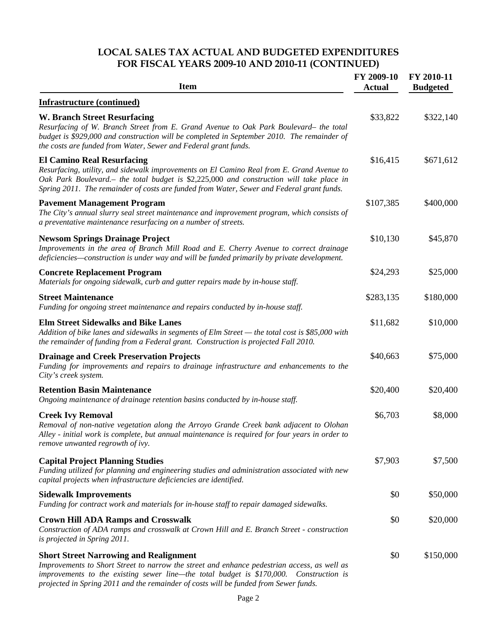### **LOCAL SALES TAX ACTUAL AND BUDGETED EXPENDITURES FOR FISCAL YEARS 2009-10 AND 2010-11 (CONTINUED)**

| <b>Item</b>                                                                                                                                                                                                                                                                                                                       | FY 2009-10<br><b>Actual</b> | FY 2010-11<br><b>Budgeted</b> |
|-----------------------------------------------------------------------------------------------------------------------------------------------------------------------------------------------------------------------------------------------------------------------------------------------------------------------------------|-----------------------------|-------------------------------|
| <b>Infrastructure (continued)</b>                                                                                                                                                                                                                                                                                                 |                             |                               |
| <b>W. Branch Street Resurfacing</b><br>Resurfacing of W. Branch Street from E. Grand Avenue to Oak Park Boulevard- the total<br>budget is \$929,000 and construction will be completed in September 2010. The remainder of<br>the costs are funded from Water, Sewer and Federal grant funds.                                     | \$33,822                    | \$322,140                     |
| <b>El Camino Real Resurfacing</b><br>Resurfacing, utility, and sidewalk improvements on El Camino Real from E. Grand Avenue to<br>Oak Park Boulevard. – the total budget is \$2,225,000 and construction will take place in<br>Spring 2011. The remainder of costs are funded from Water, Sewer and Federal grant funds.          | \$16,415                    | \$671,612                     |
| <b>Pavement Management Program</b><br>The City's annual slurry seal street maintenance and improvement program, which consists of<br>a preventative maintenance resurfacing on a number of streets.                                                                                                                               | \$107,385                   | \$400,000                     |
| <b>Newsom Springs Drainage Project</b><br>Improvements in the area of Branch Mill Road and E. Cherry Avenue to correct drainage<br>deficiencies—construction is under way and will be funded primarily by private development.                                                                                                    | \$10,130                    | \$45,870                      |
| <b>Concrete Replacement Program</b><br>Materials for ongoing sidewalk, curb and gutter repairs made by in-house staff.                                                                                                                                                                                                            | \$24,293                    | \$25,000                      |
| <b>Street Maintenance</b><br>Funding for ongoing street maintenance and repairs conducted by in-house staff.                                                                                                                                                                                                                      | \$283,135                   | \$180,000                     |
| <b>Elm Street Sidewalks and Bike Lanes</b><br>Addition of bike lanes and sidewalks in segments of Elm Street — the total cost is \$85,000 with<br>the remainder of funding from a Federal grant. Construction is projected Fall 2010.                                                                                             | \$11,682                    | \$10,000                      |
| <b>Drainage and Creek Preservation Projects</b><br>Funding for improvements and repairs to drainage infrastructure and enhancements to the<br>City's creek system.                                                                                                                                                                | \$40,663                    | \$75,000                      |
| <b>Retention Basin Maintenance</b><br>Ongoing maintenance of drainage retention basins conducted by in-house staff.                                                                                                                                                                                                               | \$20,400                    | \$20,400                      |
| <b>Creek Ivy Removal</b><br>Removal of non-native vegetation along the Arroyo Grande Creek bank adjacent to Olohan<br>Alley - initial work is complete, but annual maintenance is required for four years in order to<br>remove unwanted regrowth of ivy.                                                                         | \$6,703                     | \$8,000                       |
| <b>Capital Project Planning Studies</b><br>Funding utilized for planning and engineering studies and administration associated with new<br>capital projects when infrastructure deficiencies are identified.                                                                                                                      | \$7,903                     | \$7,500                       |
| <b>Sidewalk Improvements</b><br>Funding for contract work and materials for in-house staff to repair damaged sidewalks.                                                                                                                                                                                                           | \$0                         | \$50,000                      |
| <b>Crown Hill ADA Ramps and Crosswalk</b><br>Construction of ADA ramps and crosswalk at Crown Hill and E. Branch Street - construction<br>is projected in Spring 2011.                                                                                                                                                            | \$0                         | \$20,000                      |
| <b>Short Street Narrowing and Realignment</b><br>Improvements to Short Street to narrow the street and enhance pedestrian access, as well as<br>improvements to the existing sewer line—the total budget is \$170,000.<br>Construction is<br>projected in Spring 2011 and the remainder of costs will be funded from Sewer funds. | \$0                         | \$150,000                     |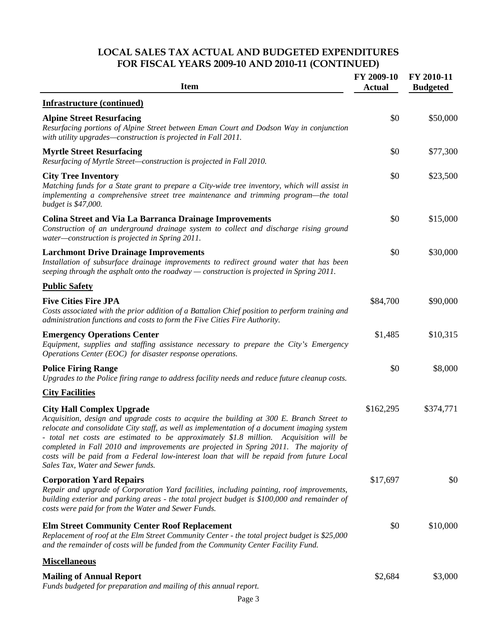### **LOCAL SALES TAX ACTUAL AND BUDGETED EXPENDITURES FOR FISCAL YEARS 2009-10 AND 2010-11 (CONTINUED)**

| <b>Item</b>                                                                                                                                                                                                                                                                                                                                                                                                                                                                                                                                    | FY 2009-10<br><b>Actual</b> | FY 2010-11<br><b>Budgeted</b> |
|------------------------------------------------------------------------------------------------------------------------------------------------------------------------------------------------------------------------------------------------------------------------------------------------------------------------------------------------------------------------------------------------------------------------------------------------------------------------------------------------------------------------------------------------|-----------------------------|-------------------------------|
| <b>Infrastructure (continued)</b>                                                                                                                                                                                                                                                                                                                                                                                                                                                                                                              |                             |                               |
| <b>Alpine Street Resurfacing</b><br>Resurfacing portions of Alpine Street between Eman Court and Dodson Way in conjunction<br>with utility upgrades-construction is projected in Fall 2011.                                                                                                                                                                                                                                                                                                                                                    | \$0                         | \$50,000                      |
| <b>Myrtle Street Resurfacing</b><br>Resurfacing of Myrtle Street-construction is projected in Fall 2010.                                                                                                                                                                                                                                                                                                                                                                                                                                       | \$0                         | \$77,300                      |
| <b>City Tree Inventory</b><br>Matching funds for a State grant to prepare a City-wide tree inventory, which will assist in<br>implementing a comprehensive street tree maintenance and trimming program—the total<br><i>budget is</i> \$47,000.                                                                                                                                                                                                                                                                                                | \$0                         | \$23,500                      |
| <b>Colina Street and Via La Barranca Drainage Improvements</b><br>Construction of an underground drainage system to collect and discharge rising ground<br>water-construction is projected in Spring 2011.                                                                                                                                                                                                                                                                                                                                     | \$0                         | \$15,000                      |
| <b>Larchmont Drive Drainage Improvements</b><br>Installation of subsurface drainage improvements to redirect ground water that has been<br>seeping through the asphalt onto the roadway — construction is projected in Spring 2011.                                                                                                                                                                                                                                                                                                            | \$0                         | \$30,000                      |
| <b>Public Safety</b>                                                                                                                                                                                                                                                                                                                                                                                                                                                                                                                           |                             |                               |
| <b>Five Cities Fire JPA</b><br>Costs associated with the prior addition of a Battalion Chief position to perform training and<br>administration functions and costs to form the Five Cities Fire Authority.                                                                                                                                                                                                                                                                                                                                    | \$84,700                    | \$90,000                      |
| <b>Emergency Operations Center</b><br>Equipment, supplies and staffing assistance necessary to prepare the City's Emergency<br>Operations Center (EOC) for disaster response operations.                                                                                                                                                                                                                                                                                                                                                       | \$1,485                     | \$10,315                      |
| <b>Police Firing Range</b><br>Upgrades to the Police firing range to address facility needs and reduce future cleanup costs.                                                                                                                                                                                                                                                                                                                                                                                                                   | \$0                         | \$8,000                       |
| <b>City Facilities</b>                                                                                                                                                                                                                                                                                                                                                                                                                                                                                                                         |                             |                               |
| <b>City Hall Complex Upgrade</b><br>Acquisition, design and upgrade costs to acquire the building at 300 E. Branch Street to<br>relocate and consolidate City staff, as well as implementation of a document imaging system<br>total net costs are estimated to be approximately \$1.8 million. Acquisition will be<br>completed in Fall 2010 and improvements are projected in Spring 2011. The majority of<br>costs will be paid from a Federal low-interest loan that will be repaid from future Local<br>Sales Tax, Water and Sewer funds. | \$162,295                   | \$374,771                     |
| <b>Corporation Yard Repairs</b><br>Repair and upgrade of Corporation Yard facilities, including painting, roof improvements,<br>building exterior and parking areas - the total project budget is \$100,000 and remainder of<br>costs were paid for from the Water and Sewer Funds.                                                                                                                                                                                                                                                            | \$17,697                    | \$0                           |
| <b>Elm Street Community Center Roof Replacement</b><br>Replacement of roof at the Elm Street Community Center - the total project budget is \$25,000<br>and the remainder of costs will be funded from the Community Center Facility Fund.                                                                                                                                                                                                                                                                                                     | \$0                         | \$10,000                      |
| <b>Miscellaneous</b>                                                                                                                                                                                                                                                                                                                                                                                                                                                                                                                           |                             |                               |
| <b>Mailing of Annual Report</b><br>Funds budgeted for preparation and mailing of this annual report.                                                                                                                                                                                                                                                                                                                                                                                                                                           | \$2,684                     | \$3,000                       |